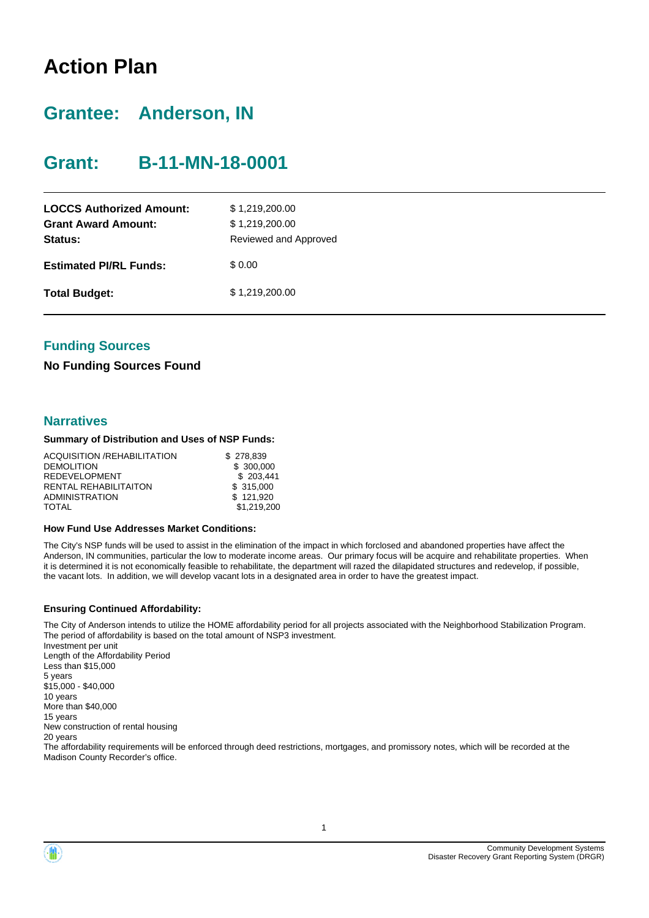# **Action Plan**

# **Grantee: Anderson, IN**

# **Grant: B-11-MN-18-0001**

| <b>LOCCS Authorized Amount:</b><br><b>Grant Award Amount:</b><br>Status: | \$1,219,200.00<br>\$1,219,200.00<br>Reviewed and Approved |
|--------------------------------------------------------------------------|-----------------------------------------------------------|
| <b>Estimated PI/RL Funds:</b>                                            | \$0.00                                                    |
| <b>Total Budget:</b>                                                     | \$1,219,200.00                                            |

### **Funding Sources**

#### **No Funding Sources Found**

#### **Narratives**

#### **Summary of Distribution and Uses of NSP Funds:**

| ACQUISITION /REHABILITATION  | \$278.839   |
|------------------------------|-------------|
| <b>DEMOLITION</b>            | \$ 300,000  |
| <b>REDEVELOPMENT</b>         | \$203.441   |
| <b>RENTAL REHABILITAITON</b> | \$ 315,000  |
| <b>ADMINISTRATION</b>        | \$121.920   |
| TOTAL                        | \$1.219.200 |

#### **How Fund Use Addresses Market Conditions:**

The City's NSP funds will be used to assist in the elimination of the impact in which forclosed and abandoned properties have affect the Anderson, IN communities, particular the low to moderate income areas. Our primary focus will be acquire and rehabilitate properties. When it is determined it is not economically feasible to rehabilitate, the department will razed the dilapidated structures and redevelop, if possible, the vacant lots. In addition, we will develop vacant lots in a designated area in order to have the greatest impact.

#### **Ensuring Continued Affordability:**

The City of Anderson intends to utilize the HOME affordability period for all projects associated with the Neighborhood Stabilization Program. The period of affordability is based on the total amount of NSP3 investment.

Investment per unit Length of the Affordability Period Less than \$15,000 5 years \$15,000 - \$40,000 10 years More than \$40,000 15 years New construction of rental housing 20 years

The affordability requirements will be enforced through deed restrictions, mortgages, and promissory notes, which will be recorded at the Madison County Recorder's office.

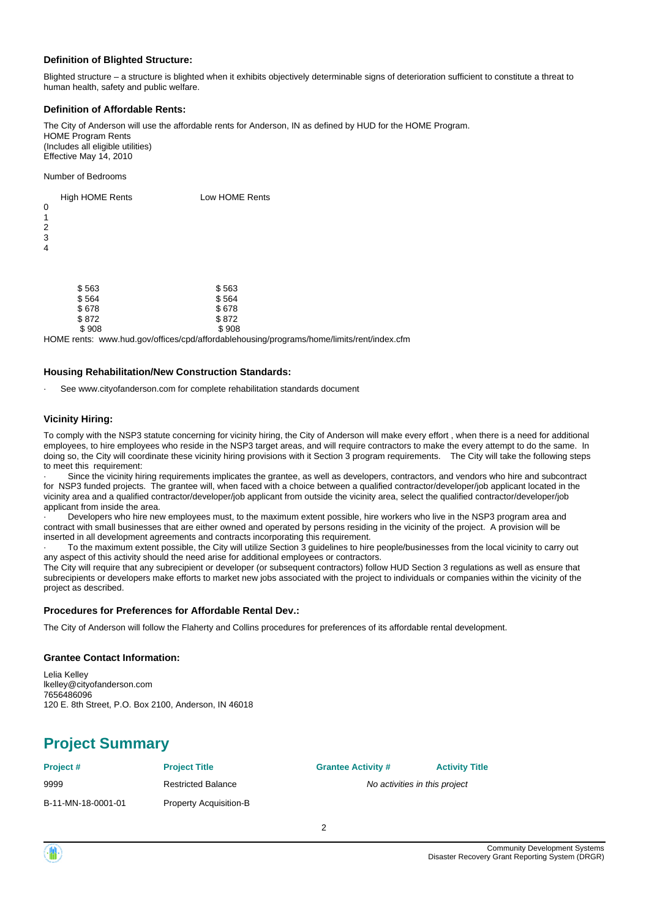#### **Definition of Blighted Structure:**

Blighted structure – a structure is blighted when it exhibits objectively determinable signs of deterioration sufficient to constitute a threat to human health, safety and public welfare.

#### **Definition of Affordable Rents:**

The City of Anderson will use the affordable rents for Anderson, IN as defined by HUD for the HOME Program. HOME Program Rents (Includes all eligible utilities) Effective May 14, 2010

Number of Bedrooms

 $$872$ 

| 0<br>1<br>2<br>3<br>4 | <b>High HOME Rents</b> | Low HOME Rents |
|-----------------------|------------------------|----------------|
|                       | \$563<br>\$564         | \$563<br>\$564 |

 \$ 908 \$ 908 HOME rents: www.hud.gov/offices/cpd/affordablehousing/programs/home/limits/rent/index.cfm

#### **Housing Rehabilitation/New Construction Standards:**

 $$678$ <br> $$872$ <br> $$872$ 

See www.cityofanderson.com for complete rehabilitation standards document

#### **Vicinity Hiring:**

To comply with the NSP3 statute concerning for vicinity hiring, the City of Anderson will make every effort , when there is a need for additional employees, to hire employees who reside in the NSP3 target areas, and will require contractors to make the every attempt to do the same. In doing so, the City will coordinate these vicinity hiring provisions with it Section 3 program requirements. The City will take the following steps to meet this requirement:

Since the vicinity hiring requirements implicates the grantee, as well as developers, contractors, and vendors who hire and subcontract for NSP3 funded projects. The grantee will, when faced with a choice between a qualified contractor/developer/job applicant located in the vicinity area and a qualified contractor/developer/job applicant from outside the vicinity area, select the qualified contractor/developer/job applicant from inside the area.

Developers who hire new employees must, to the maximum extent possible, hire workers who live in the NSP3 program area and contract with small businesses that are either owned and operated by persons residing in the vicinity of the project. A provision will be inserted in all development agreements and contracts incorporating this requirement.

· To the maximum extent possible, the City will utilize Section 3 guidelines to hire people/businesses from the local vicinity to carry out any aspect of this activity should the need arise for additional employees or contractors.

The City will require that any subrecipient or developer (or subsequent contractors) follow HUD Section 3 regulations as well as ensure that subrecipients or developers make efforts to market new jobs associated with the project to individuals or companies within the vicinity of the project as described.

#### **Procedures for Preferences for Affordable Rental Dev.:**

The City of Anderson will follow the Flaherty and Collins procedures for preferences of its affordable rental development.

#### **Grantee Contact Information:**

Lelia Kelley lkelley@cityofanderson.com 7656486096 120 E. 8th Street, P.O. Box 2100, Anderson, IN 46018

# **Project Summary**

**Project # Project Title Grantee Activity # Activity Title**

9999 **Part Constructed Balance Restricted Balance No activities in this project** 

B-11-MN-18-0001-01 Property Acquisition-B

 $\overline{2}$ 

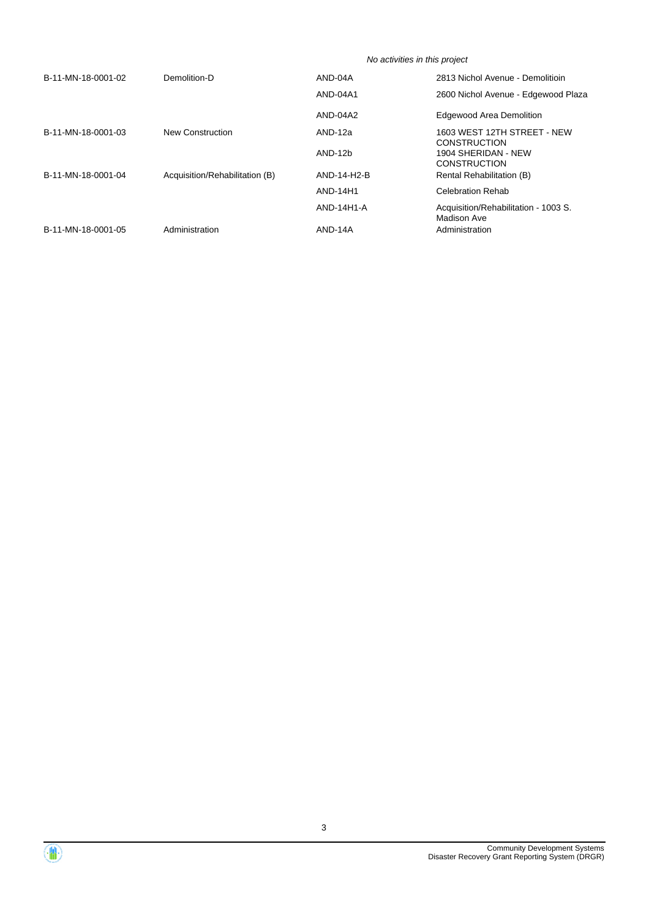|                    |                                | No activities in this project |                                                     |  |  |  |
|--------------------|--------------------------------|-------------------------------|-----------------------------------------------------|--|--|--|
| B-11-MN-18-0001-02 | Demolition-D                   | AND-04A                       | 2813 Nichol Avenue - Demolitioin                    |  |  |  |
|                    |                                | AND-04A1                      | 2600 Nichol Avenue - Edgewood Plaza                 |  |  |  |
|                    |                                | AND-04A2                      | <b>Edgewood Area Demolition</b>                     |  |  |  |
| B-11-MN-18-0001-03 | <b>New Construction</b>        | AND-12a                       | 1603 WEST 12TH STREET - NEW<br><b>CONSTRUCTION</b>  |  |  |  |
|                    |                                | AND-12b                       | 1904 SHERIDAN - NEW<br><b>CONSTRUCTION</b>          |  |  |  |
| B-11-MN-18-0001-04 | Acquisition/Rehabilitation (B) | AND-14-H2-B                   | <b>Rental Rehabilitation (B)</b>                    |  |  |  |
|                    |                                | AND-14H1                      | <b>Celebration Rehab</b>                            |  |  |  |
|                    |                                | AND-14H1-A                    | Acquisition/Rehabilitation - 1003 S.<br>Madison Ave |  |  |  |
| B-11-MN-18-0001-05 | Administration                 | AND-14A                       | Administration                                      |  |  |  |

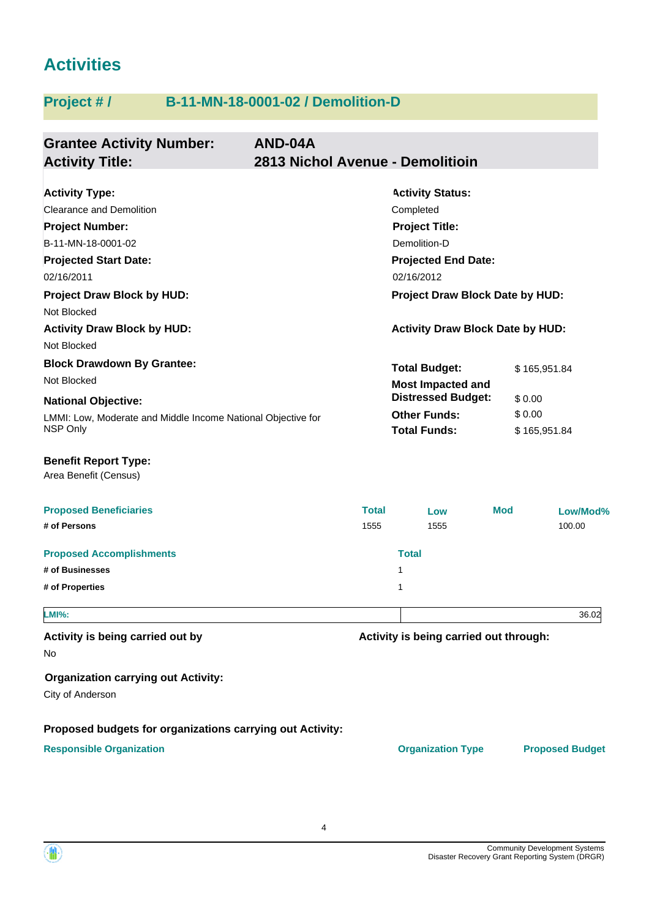# **Activities**

# **Project # / B-11-MN-18-0001-02 / Demolition-D**

| <b>Grantee Activity Number:</b><br><b>Activity Title:</b>                | AND-04A<br>2813 Nichol Avenue - Demolitioin |                                            |            |                        |                        |
|--------------------------------------------------------------------------|---------------------------------------------|--------------------------------------------|------------|------------------------|------------------------|
| <b>Activity Type:</b>                                                    |                                             | <b>Activity Status:</b>                    |            |                        |                        |
| <b>Clearance and Demolition</b>                                          |                                             | Completed                                  |            |                        |                        |
| <b>Project Number:</b>                                                   |                                             | <b>Project Title:</b>                      |            |                        |                        |
| B-11-MN-18-0001-02                                                       |                                             | Demolition-D                               |            |                        |                        |
| <b>Projected Start Date:</b>                                             |                                             | <b>Projected End Date:</b>                 |            |                        |                        |
| 02/16/2011                                                               |                                             | 02/16/2012                                 |            |                        |                        |
| <b>Project Draw Block by HUD:</b>                                        |                                             | Project Draw Block Date by HUD:            |            |                        |                        |
| Not Blocked                                                              |                                             |                                            |            |                        |                        |
| <b>Activity Draw Block by HUD:</b>                                       |                                             | <b>Activity Draw Block Date by HUD:</b>    |            |                        |                        |
| Not Blocked                                                              |                                             |                                            |            |                        |                        |
| <b>Block Drawdown By Grantee:</b>                                        |                                             | <b>Total Budget:</b>                       |            | \$165,951.84           |                        |
| Not Blocked                                                              |                                             | <b>Most Impacted and</b>                   |            |                        |                        |
| <b>National Objective:</b>                                               |                                             | <b>Distressed Budget:</b>                  |            | \$0.00                 |                        |
| LMMI: Low, Moderate and Middle Income National Objective for<br>NSP Only |                                             | <b>Other Funds:</b><br><b>Total Funds:</b> |            | \$0.00<br>\$165,951.84 |                        |
| <b>Benefit Report Type:</b><br>Area Benefit (Census)                     |                                             |                                            |            |                        |                        |
| <b>Proposed Beneficiaries</b>                                            | <b>Total</b>                                | Low                                        | <b>Mod</b> |                        | Low/Mod%               |
| # of Persons                                                             | 1555                                        | 1555                                       |            |                        | 100.00                 |
| <b>Proposed Accomplishments</b>                                          |                                             | <b>Total</b>                               |            |                        |                        |
| # of Businesses                                                          |                                             | 1                                          |            |                        |                        |
| # of Properties                                                          |                                             | 1                                          |            |                        |                        |
| <b>LMI%:</b>                                                             |                                             |                                            |            |                        | 36.02                  |
| Activity is being carried out by<br>No                                   |                                             | Activity is being carried out through:     |            |                        |                        |
| <b>Organization carrying out Activity:</b><br>City of Anderson           |                                             |                                            |            |                        |                        |
| Proposed budgets for organizations carrying out Activity:                |                                             |                                            |            |                        |                        |
| <b>Responsible Organization</b>                                          |                                             | <b>Organization Type</b>                   |            |                        | <b>Proposed Budget</b> |

4

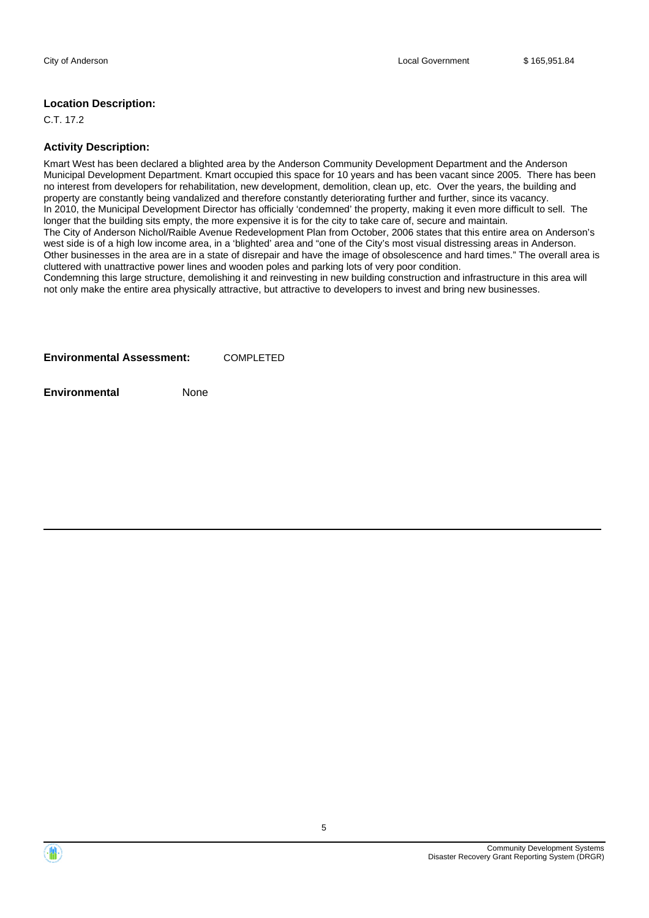#### **Location Description:**

C.T. 17.2

#### **Activity Description:**

Kmart West has been declared a blighted area by the Anderson Community Development Department and the Anderson Municipal Development Department. Kmart occupied this space for 10 years and has been vacant since 2005. There has been no interest from developers for rehabilitation, new development, demolition, clean up, etc. Over the years, the building and property are constantly being vandalized and therefore constantly deteriorating further and further, since its vacancy. In 2010, the Municipal Development Director has officially 'condemned' the property, making it even more difficult to sell. The longer that the building sits empty, the more expensive it is for the city to take care of, secure and maintain. The City of Anderson Nichol/Raible Avenue Redevelopment Plan from October, 2006 states that this entire area on Anderson's west side is of a high low income area, in a 'blighted' area and "one of the City's most visual distressing areas in Anderson. Other businesses in the area are in a state of disrepair and have the image of obsolescence and hard times." The overall area is cluttered with unattractive power lines and wooden poles and parking lots of very poor condition.

Condemning this large structure, demolishing it and reinvesting in new building construction and infrastructure in this area will not only make the entire area physically attractive, but attractive to developers to invest and bring new businesses.

**Environmental** None



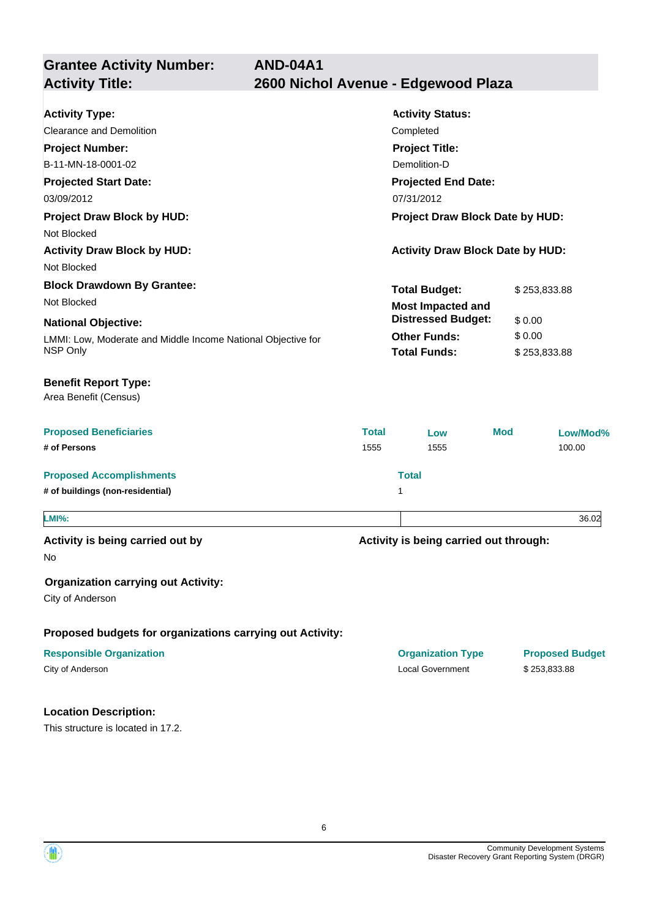**Grantee Activity Number: Projected Start Date:** LMMI: Low, Moderate and Middle Income National Objective for NSP Only **National Objective: Activity Status: Projected End Date: AND-04A1 Activity Type:** 03/09/2012 07/31/2012 Clearance and Demolition Completed **Activity Title: 2600 Nichol Avenue - Edgewood Plaza Project Number:** B-11-MN-18-0001-02 **Project Title:** Demolition-D **Total Budget:** \$253,833.88 **Other Funds:** \$ 0.00 **Total Funds:** \$253,833.88 **Proposed Beneficiaries Total Low Mod Low/Mod% # of Persons** 1555 1555 100.00 **Proposed Accomplishments Total # of buildings (non-residential)** 1 **Proposed budgets for organizations carrying out Activity: Activity is being carried out through: Responsible Organization** No **Activity is being carried out by Organization carrying out Activity:** City of Anderson City of Anderson Local Government \$ 253,833.88 Area Benefit (Census) **Benefit Report Type: Project Draw Block by HUD: Project Draw Block Date by HUD:** Not Blocked Activity Draw Block by HUD: **Activity Draw Block Date by HUD:** Activity Draw Block Date by HUD: Not Blocked **Block Drawdown By Grantee:** Not Blocked **LMI%:** 36.02 **Most Impacted and Distressed Budget:** \$ 0.00

### **Location Description:**

This structure is located in 17.2.

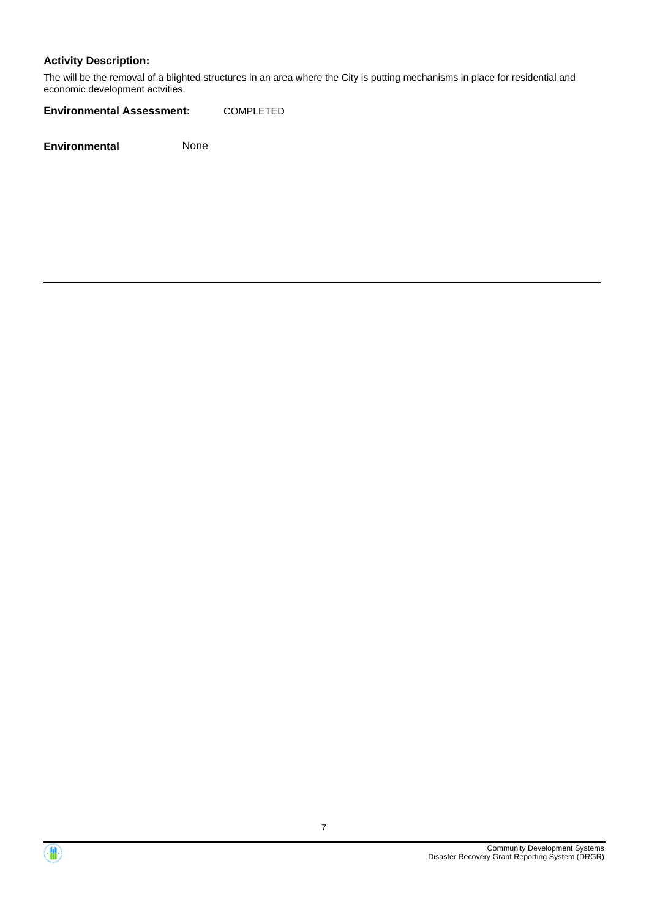### **Activity Description:**

The will be the removal of a blighted structures in an area where the City is putting mechanisms in place for residential and economic development actvities.

**Environmental Assessment:** COMPLETED

**Environmental** None



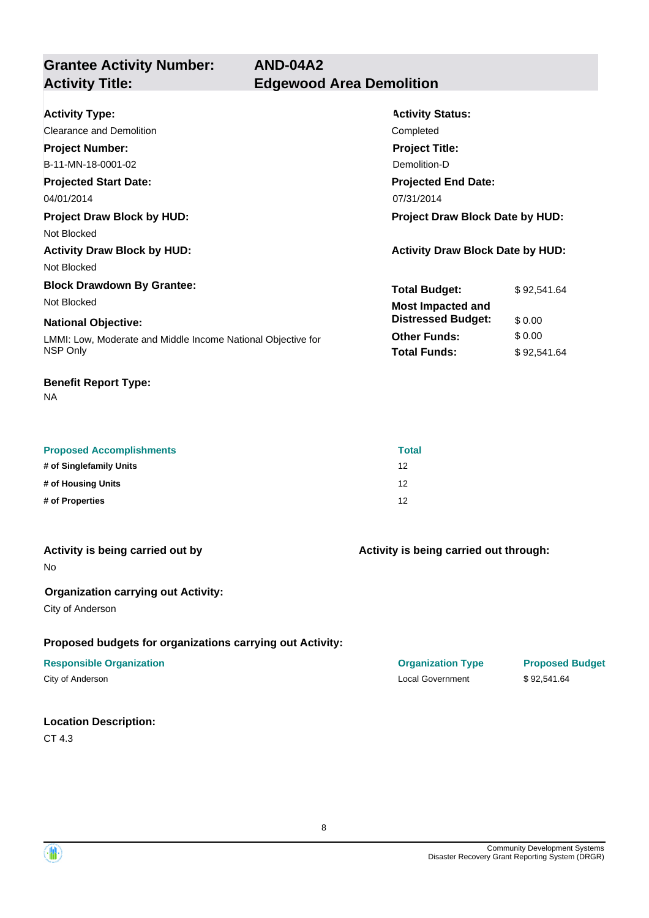**AND-04A2**

**Grantee Activity Number: Activity Title: Edgewood Area Demolition**

| <b>Activity Type:</b>                                        | <b>Activity Status:</b>                 |             |  |
|--------------------------------------------------------------|-----------------------------------------|-------------|--|
| Clearance and Demolition                                     | Completed                               |             |  |
| <b>Project Number:</b>                                       | <b>Project Title:</b>                   |             |  |
| B-11-MN-18-0001-02                                           | Demolition-D                            |             |  |
| <b>Projected Start Date:</b>                                 | <b>Projected End Date:</b>              |             |  |
| 04/01/2014                                                   | 07/31/2014                              |             |  |
| <b>Project Draw Block by HUD:</b>                            | <b>Project Draw Block Date by HUD:</b>  |             |  |
| Not Blocked                                                  |                                         |             |  |
| <b>Activity Draw Block by HUD:</b>                           | <b>Activity Draw Block Date by HUD:</b> |             |  |
| Not Blocked                                                  |                                         |             |  |
| <b>Block Drawdown By Grantee:</b>                            | <b>Total Budget:</b>                    | \$92,541.64 |  |
| Not Blocked                                                  | <b>Most Impacted and</b>                |             |  |
| <b>National Objective:</b>                                   | <b>Distressed Budget:</b>               | \$0.00      |  |
| LMMI: Low, Moderate and Middle Income National Objective for | <b>Other Funds:</b>                     | \$0.00      |  |
| NSP Only                                                     | <b>Total Funds:</b>                     | \$92,541.64 |  |
|                                                              |                                         |             |  |

#### **Benefit Report Type:**

NA

| <b>Proposed Accomplishments</b> | <b>Total</b> |
|---------------------------------|--------------|
| # of Singlefamily Units         | 12           |
| # of Housing Units              | 12           |
| # of Properties                 | 12           |

| Activity is being carried out by |  |  |  |  |  |
|----------------------------------|--|--|--|--|--|
|----------------------------------|--|--|--|--|--|

No

#### **Organization carrying out Activity:**

City of Anderson

#### **Proposed budgets for organizations carrying out Activity:**

#### **Responsible Organization Organization Type Proposed Budget**

#### **Location Description:**

CT 4.3

**Activity is being carried out through:**

City of Anderson \$92,541.64

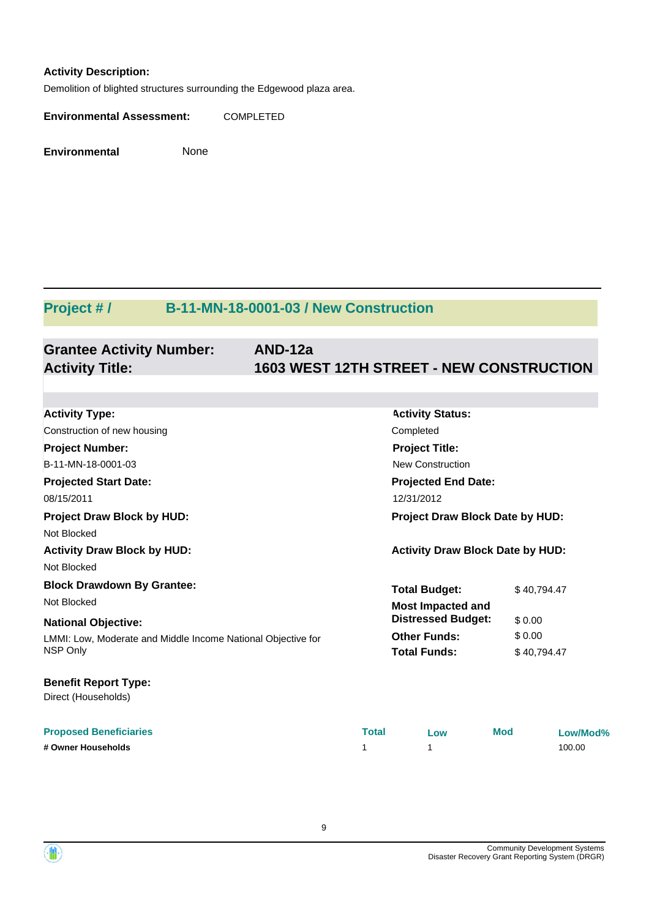#### **Activity Description:**

Demolition of blighted structures surrounding the Edgewood plaza area.

**Environmental Assessment:** COMPLETED

**Environmental** None

# **Project # / B-11-MN-18-0001-03 / New Construction**

#### **Grantee Activity Number: AND-12a Activity Title: 1603 WEST 12TH STREET - NEW CONSTRUCTION**

| <b>Activity Type:</b>                                        |                                        | <b>Activity Status:</b>                 |             |          |  |  |  |
|--------------------------------------------------------------|----------------------------------------|-----------------------------------------|-------------|----------|--|--|--|
| Construction of new housing<br>Completed                     |                                        |                                         |             |          |  |  |  |
| <b>Project Number:</b>                                       |                                        | <b>Project Title:</b>                   |             |          |  |  |  |
| B-11-MN-18-0001-03<br><b>New Construction</b>                |                                        |                                         |             |          |  |  |  |
| <b>Projected Start Date:</b>                                 |                                        | <b>Projected End Date:</b>              |             |          |  |  |  |
| 08/15/2011                                                   |                                        | 12/31/2012                              |             |          |  |  |  |
| <b>Project Draw Block by HUD:</b>                            | <b>Project Draw Block Date by HUD:</b> |                                         |             |          |  |  |  |
| Not Blocked                                                  |                                        |                                         |             |          |  |  |  |
| <b>Activity Draw Block by HUD:</b>                           |                                        | <b>Activity Draw Block Date by HUD:</b> |             |          |  |  |  |
| Not Blocked                                                  |                                        |                                         |             |          |  |  |  |
| <b>Block Drawdown By Grantee:</b>                            |                                        | <b>Total Budget:</b>                    | \$40,794.47 |          |  |  |  |
| Not Blocked                                                  |                                        | <b>Most Impacted and</b>                |             |          |  |  |  |
| <b>National Objective:</b>                                   |                                        | <b>Distressed Budget:</b>               | \$0.00      |          |  |  |  |
| LMMI: Low, Moderate and Middle Income National Objective for |                                        | <b>Other Funds:</b>                     | \$0.00      |          |  |  |  |
| NSP Only                                                     |                                        | <b>Total Funds:</b>                     | \$40,794.47 |          |  |  |  |
| <b>Benefit Report Type:</b>                                  |                                        |                                         |             |          |  |  |  |
| Direct (Households)                                          |                                        |                                         |             |          |  |  |  |
| <b>Proposed Beneficiaries</b>                                | <b>Total</b>                           | Low                                     | <b>Mod</b>  | Low/Mod% |  |  |  |
| # Owner Households                                           | 1                                      | 1                                       |             | 100.00   |  |  |  |



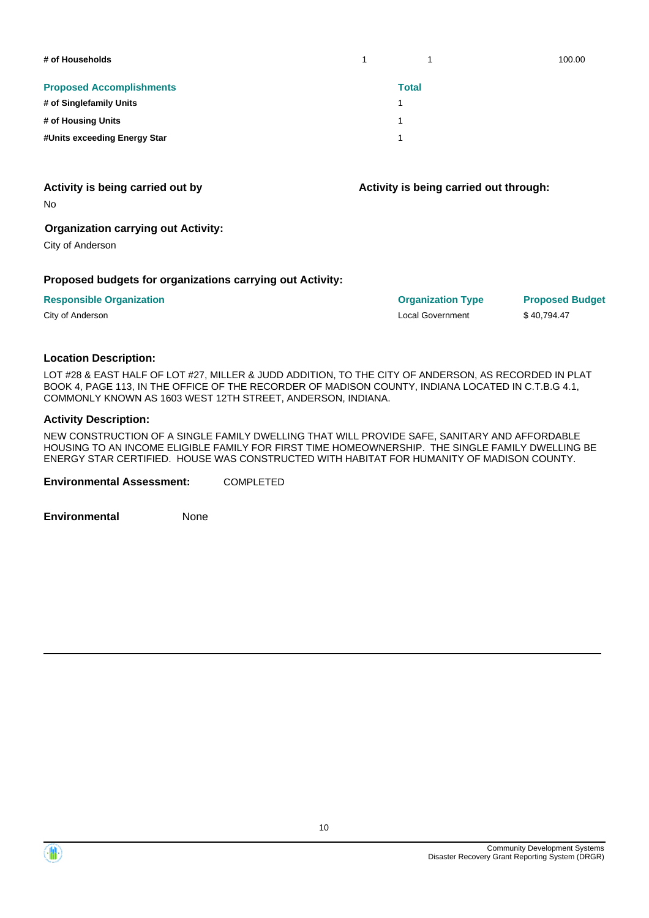| # of Households                 |              | 100.00 |
|---------------------------------|--------------|--------|
| <b>Proposed Accomplishments</b> | <b>Total</b> |        |
| # of Singlefamily Units         |              |        |
| # of Housing Units              |              |        |
| #Units exceeding Energy Star    |              |        |

No

#### **Organization carrying out Activity:**

City of Anderson

#### **Proposed budgets for organizations carrying out Activity:**

| <b>Responsible Organization</b> | <b>Organization Type</b> | <b>Proposed Budget</b> |
|---------------------------------|--------------------------|------------------------|
| City of Anderson                | Local Government         | \$40.794.47            |

**Activity is being carried out through:**

#### **Location Description:**

LOT #28 & EAST HALF OF LOT #27, MILLER & JUDD ADDITION, TO THE CITY OF ANDERSON, AS RECORDED IN PLAT BOOK 4, PAGE 113, IN THE OFFICE OF THE RECORDER OF MADISON COUNTY, INDIANA LOCATED IN C.T.B.G 4.1, COMMONLY KNOWN AS 1603 WEST 12TH STREET, ANDERSON, INDIANA.

#### **Activity Description:**

NEW CONSTRUCTION OF A SINGLE FAMILY DWELLING THAT WILL PROVIDE SAFE, SANITARY AND AFFORDABLE HOUSING TO AN INCOME ELIGIBLE FAMILY FOR FIRST TIME HOMEOWNERSHIP. THE SINGLE FAMILY DWELLING BE ENERGY STAR CERTIFIED. HOUSE WAS CONSTRUCTED WITH HABITAT FOR HUMANITY OF MADISON COUNTY.

**Environmental Assessment:** COMPLETED

**Environmental** None

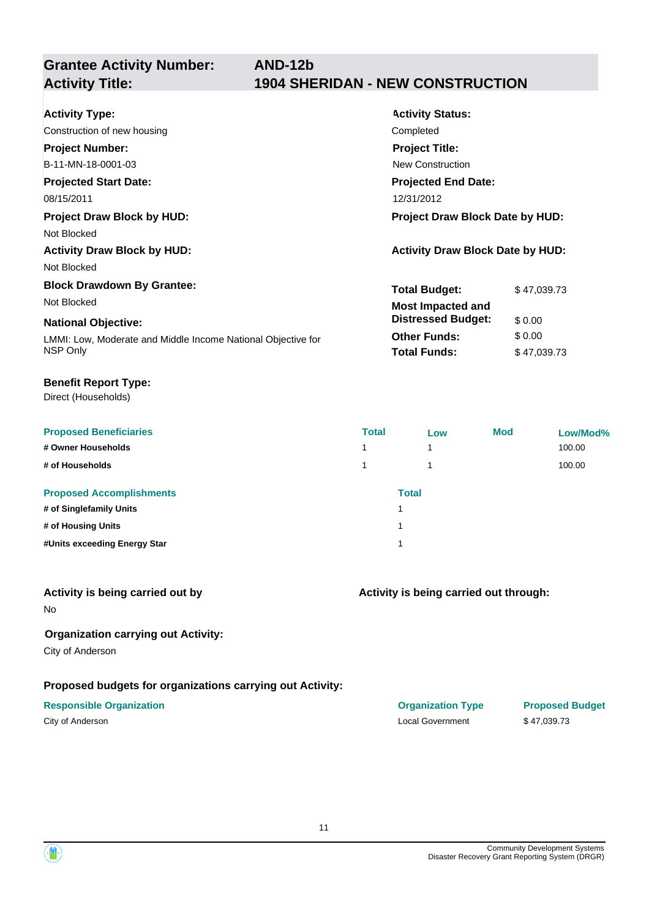**Grantee Activity Number:**

# **AND-12b Activity Title: 1904 SHERIDAN - NEW CONSTRUCTION**

| <b>Activity Type:</b>                                        | <b>Activity Status:</b>                 |             |
|--------------------------------------------------------------|-----------------------------------------|-------------|
| Construction of new housing                                  | Completed                               |             |
| <b>Project Number:</b>                                       | <b>Project Title:</b>                   |             |
| B-11-MN-18-0001-03                                           | <b>New Construction</b>                 |             |
| <b>Projected Start Date:</b>                                 | <b>Projected End Date:</b>              |             |
| 08/15/2011                                                   | 12/31/2012                              |             |
| <b>Project Draw Block by HUD:</b>                            | Project Draw Block Date by HUD:         |             |
| Not Blocked                                                  |                                         |             |
| <b>Activity Draw Block by HUD:</b>                           | <b>Activity Draw Block Date by HUD:</b> |             |
| Not Blocked                                                  |                                         |             |
| <b>Block Drawdown By Grantee:</b>                            | <b>Total Budget:</b>                    | \$47,039.73 |
| Not Blocked                                                  | <b>Most Impacted and</b>                |             |
| <b>National Objective:</b>                                   | <b>Distressed Budget:</b>               | \$0.00      |
| LMMI: Low, Moderate and Middle Income National Objective for | <b>Other Funds:</b>                     | \$0.00      |
| NSP Only                                                     | <b>Total Funds:</b>                     | \$47,039.73 |

#### **Benefit Report Type:**

Direct (Households)

| <b>Proposed Beneficiaries</b>   | <b>Total</b> | Low          | <b>Mod</b> | Low/Mod% |
|---------------------------------|--------------|--------------|------------|----------|
| # Owner Households              |              |              |            | 100.00   |
| # of Households                 |              |              |            | 100.00   |
| <b>Proposed Accomplishments</b> |              | <b>Total</b> |            |          |
| # of Singlefamily Units         | 1            |              |            |          |
| # of Housing Units              |              |              |            |          |
| #Units exceeding Energy Star    |              |              |            |          |

#### **Activity is being carried out by**

No

#### **Organization carrying out Activity:**

City of Anderson

### **Proposed budgets for organizations carrying out Activity:**

# **Responsible Organization COVID-10 COVID-10 Organization Type Proposed Budget**

**Activity is being carried out through:**

City of Anderson \$47,039.73

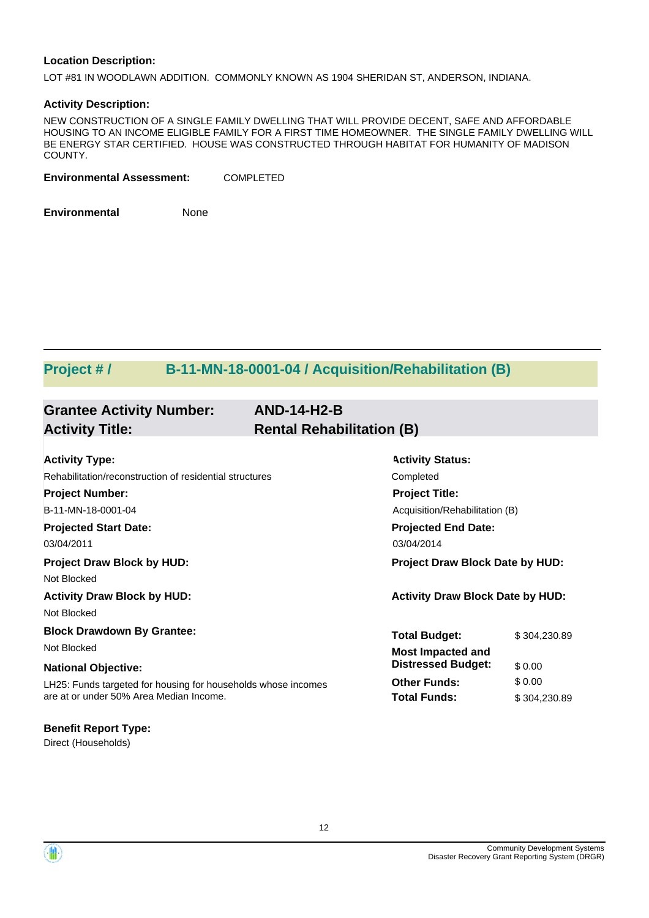#### **Location Description:**

LOT #81 IN WOODLAWN ADDITION. COMMONLY KNOWN AS 1904 SHERIDAN ST, ANDERSON, INDIANA.

#### **Activity Description:**

NEW CONSTRUCTION OF A SINGLE FAMILY DWELLING THAT WILL PROVIDE DECENT, SAFE AND AFFORDABLE HOUSING TO AN INCOME ELIGIBLE FAMILY FOR A FIRST TIME HOMEOWNER. THE SINGLE FAMILY DWELLING WILL BE ENERGY STAR CERTIFIED. HOUSE WAS CONSTRUCTED THROUGH HABITAT FOR HUMANITY OF MADISON COUNTY.

**Environmental Assessment:** COMPLETED

**Environmental** None

# **Project # / B-11-MN-18-0001-04 / Acquisition/Rehabilitation (B)**

| <b>Grantee Activity Number:</b><br><b>Activity Title:</b>     | <b>AND-14-H2-B</b><br><b>Rental Rehabilitation (B)</b> |                                         |              |
|---------------------------------------------------------------|--------------------------------------------------------|-----------------------------------------|--------------|
| <b>Activity Type:</b>                                         |                                                        | <b>Activity Status:</b>                 |              |
| Rehabilitation/reconstruction of residential structures       |                                                        | Completed                               |              |
| <b>Project Number:</b>                                        |                                                        | <b>Project Title:</b>                   |              |
| B-11-MN-18-0001-04                                            |                                                        | Acquisition/Rehabilitation (B)          |              |
| <b>Projected Start Date:</b>                                  |                                                        | <b>Projected End Date:</b>              |              |
| 03/04/2011                                                    |                                                        | 03/04/2014                              |              |
| <b>Project Draw Block by HUD:</b>                             |                                                        | <b>Project Draw Block Date by HUD:</b>  |              |
| Not Blocked                                                   |                                                        |                                         |              |
| <b>Activity Draw Block by HUD:</b>                            |                                                        | <b>Activity Draw Block Date by HUD:</b> |              |
| Not Blocked                                                   |                                                        |                                         |              |
| <b>Block Drawdown By Grantee:</b>                             |                                                        | <b>Total Budget:</b>                    | \$304.230.89 |
| Not Blocked                                                   |                                                        | <b>Most Impacted and</b>                |              |
| <b>National Objective:</b>                                    |                                                        | <b>Distressed Budget:</b>               | \$0.00       |
| LH25: Funds targeted for housing for households whose incomes |                                                        | <b>Other Funds:</b>                     | \$0.00       |
| are at or under 50% Area Median Income.                       |                                                        | <b>Total Funds:</b>                     | \$304,230.89 |

# **Benefit Report Type:**

Direct (Households)

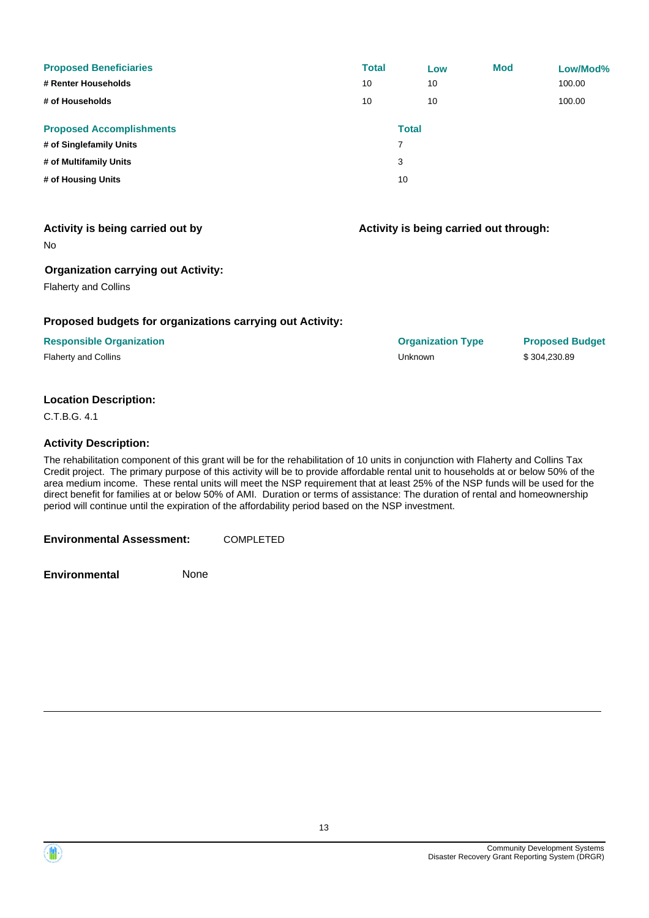| <b>Proposed Beneficiaries</b>   | <b>Total</b> | Low          | <b>Mod</b> | Low/Mod% |
|---------------------------------|--------------|--------------|------------|----------|
| # Renter Households             | 10           | 10           |            | 100.00   |
| # of Households                 | 10           | 10           |            | 100.00   |
| <b>Proposed Accomplishments</b> |              | <b>Total</b> |            |          |
| # of Singlefamily Units         | 7            |              |            |          |
| # of Multifamily Units          | 3            |              |            |          |
| # of Housing Units              | 10           |              |            |          |

#### **Activity is being carried out through:**

No

#### **Organization carrying out Activity:**

Flaherty and Collins

#### **Proposed budgets for organizations carrying out Activity:**

#### **Location Description:**

C.T.B.G. 4.1

#### **Activity Description:**

The rehabilitation component of this grant will be for the rehabilitation of 10 units in conjunction with Flaherty and Collins Tax Credit project. The primary purpose of this activity will be to provide affordable rental unit to households at or below 50% of the area medium income. These rental units will meet the NSP requirement that at least 25% of the NSP funds will be used for the direct benefit for families at or below 50% of AMI. Duration or terms of assistance: The duration of rental and homeownership period will continue until the expiration of the affordability period based on the NSP investment.

**Environmental Assessment:** COMPLETED

**Environmental** None

13



**Responsible Organization Organization Type Proposed Budget** Flaherty and Collins **According to the Struck Collins** Unknown **1999** Unknown \$ 304,230.89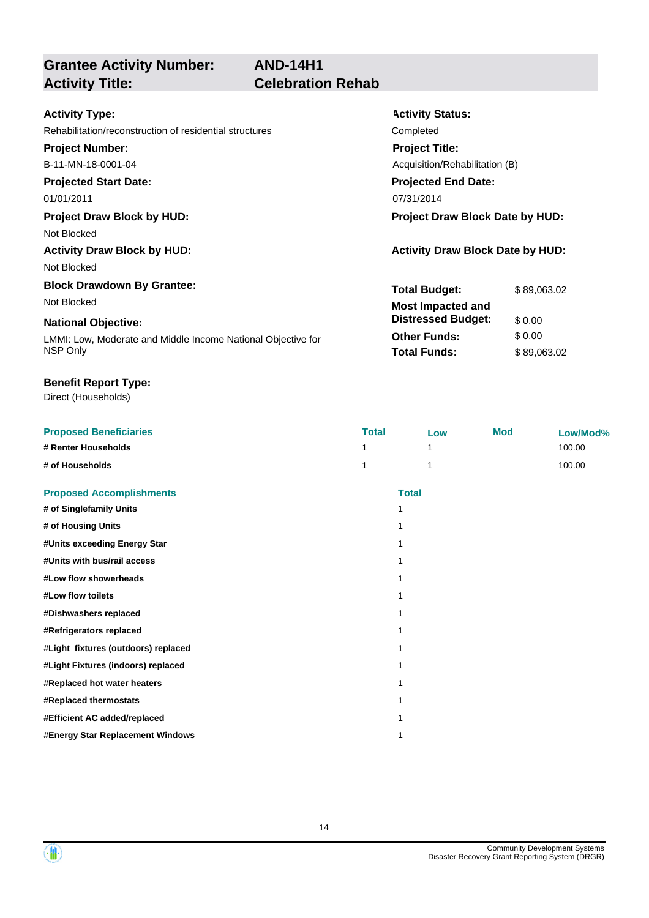**AND-14H1**

# **Grantee Activity Number: Activity Title: Celebration Rehab**

**Activity Status:**

**Project Title:**

**Projected End Date:**

Acquisition/Rehabilitation (B)

**Total Budget:** \$89,063.02

**Other Funds:** \$ 0.00 **Total Funds:** \$ 89,063.02

**Distressed Budget:** \$ 0.00

#### Rehabilitation/reconstruction of residential structures Completed **Project Number:**

B-11-MN-18-0001-04

# **Projected Start Date:**

01/01/2011 07/31/2014 07/31/2014

## **Project Draw Block by HUD: Project Draw Block Date by HUD:**

Not Blocked

# Activity Draw Block by HUD:  $\overline{A}$  Activity Draw Block Date by HUD:

Not Blocked

## **Block Drawdown By Grantee:** Not Blocked **Most Impacted and**

#### **National Objective:**

LMMI: Low, Moderate and Middle Income National Objective for NSP Only

#### **Benefit Report Type:**

Direct (Households)

| <b>Proposed Beneficiaries</b>       | <b>Total</b> | Low          | <b>Mod</b> | Low/Mod% |
|-------------------------------------|--------------|--------------|------------|----------|
| # Renter Households                 |              | 1            |            | 100.00   |
| # of Households                     |              | 1            |            | 100.00   |
| <b>Proposed Accomplishments</b>     |              | <b>Total</b> |            |          |
| # of Singlefamily Units             |              |              |            |          |
| # of Housing Units                  |              |              |            |          |
| #Units exceeding Energy Star        |              |              |            |          |
| #Units with bus/rail access         |              |              |            |          |
| #Low flow showerheads               |              |              |            |          |
| #Low flow toilets                   |              |              |            |          |
| #Dishwashers replaced               |              |              |            |          |
| #Refrigerators replaced             |              |              |            |          |
| #Light fixtures (outdoors) replaced |              |              |            |          |
| #Light Fixtures (indoors) replaced  |              |              |            |          |
| #Replaced hot water heaters         |              |              |            |          |
| #Replaced thermostats               |              |              |            |          |
| #Efficient AC added/replaced        |              |              |            |          |
| #Energy Star Replacement Windows    |              |              |            |          |

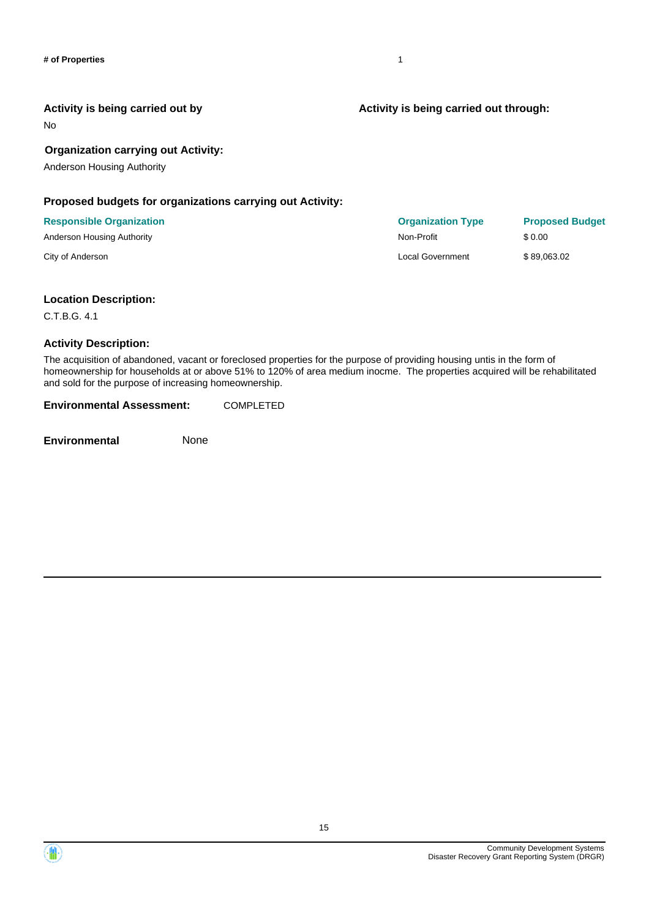No

#### **Organization carrying out Activity:**

Anderson Housing Authority

#### **Proposed budgets for organizations carrying out Activity:**

| <b>Responsible Organization</b> | <b>Organization Type</b> | <b>Proposed Budget</b> |
|---------------------------------|--------------------------|------------------------|
| Anderson Housing Authority      | Non-Profit               | \$0.00                 |
| City of Anderson                | Local Government         | \$89,063.02            |

#### **Location Description:**

C.T.B.G. 4.1

#### **Activity Description:**

The acquisition of abandoned, vacant or foreclosed properties for the purpose of providing housing untis in the form of homeownership for households at or above 51% to 120% of area medium inocme. The properties acquired will be rehabilitated and sold for the purpose of increasing homeownership.

**Environmental Assessment:** COMPLETED

**Environmental** None

#### **Activity is being carried out through:**

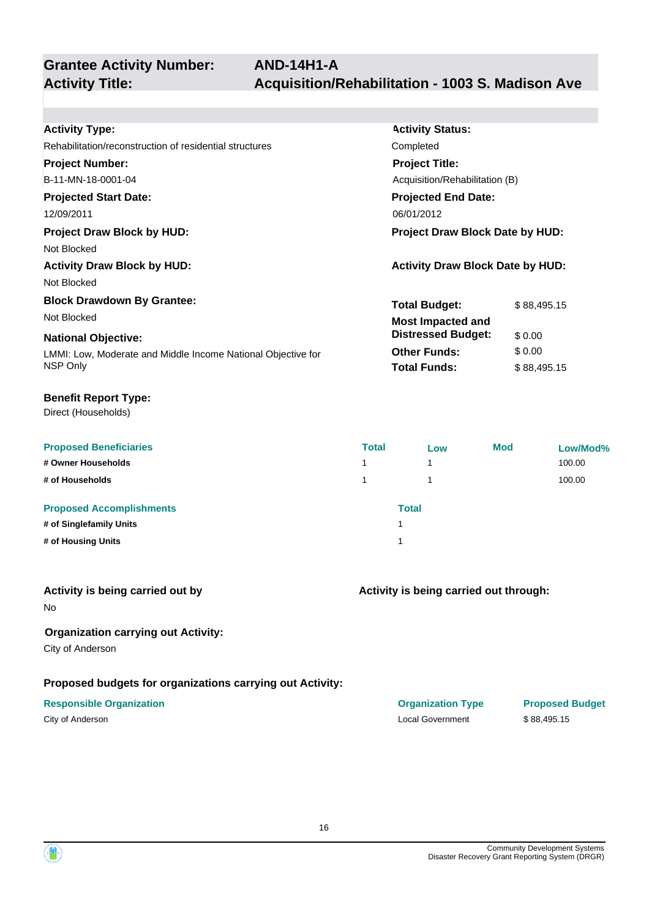# **Grantee Activity Number:**

| <b>Activity Type:</b>                                        | <b>Activity Status:</b>                 |             |
|--------------------------------------------------------------|-----------------------------------------|-------------|
| Rehabilitation/reconstruction of residential structures      | Completed                               |             |
| <b>Project Number:</b>                                       | <b>Project Title:</b>                   |             |
| B-11-MN-18-0001-04                                           | Acquisition/Rehabilitation (B)          |             |
| <b>Projected Start Date:</b>                                 | <b>Projected End Date:</b>              |             |
| 12/09/2011                                                   | 06/01/2012                              |             |
| <b>Project Draw Block by HUD:</b>                            | <b>Project Draw Block Date by HUD:</b>  |             |
| Not Blocked                                                  |                                         |             |
| <b>Activity Draw Block by HUD:</b>                           | <b>Activity Draw Block Date by HUD:</b> |             |
| Not Blocked                                                  |                                         |             |
| <b>Block Drawdown By Grantee:</b>                            | <b>Total Budget:</b>                    | \$88,495.15 |
| Not Blocked                                                  | <b>Most Impacted and</b>                |             |
| <b>National Objective:</b>                                   | <b>Distressed Budget:</b>               | \$0.00      |
| LMMI: Low, Moderate and Middle Income National Objective for | <b>Other Funds:</b>                     | \$0.00      |
| NSP Only                                                     | <b>Total Funds:</b>                     | \$88,495.15 |

#### **Benefit Report Type:**

Direct (Households)

| <b>Proposed Beneficiaries</b><br># Owner Households<br># of Households           | <b>Total</b><br>1<br>1. | Low          | <b>Mod</b> | Low/Mod%<br>100.00<br>100.00 |
|----------------------------------------------------------------------------------|-------------------------|--------------|------------|------------------------------|
| <b>Proposed Accomplishments</b><br># of Singlefamily Units<br># of Housing Units |                         | <b>Total</b> |            |                              |

#### **Activity is being carried out by**

No

### **Organization carrying out Activity:**

City of Anderson

## **Proposed budgets for organizations carrying out Activity:**

## **Responsible Organization Organization Type Proposed Budget**

## **Activity is being carried out through:**

City of Anderson Local Government \$ 88,495.15

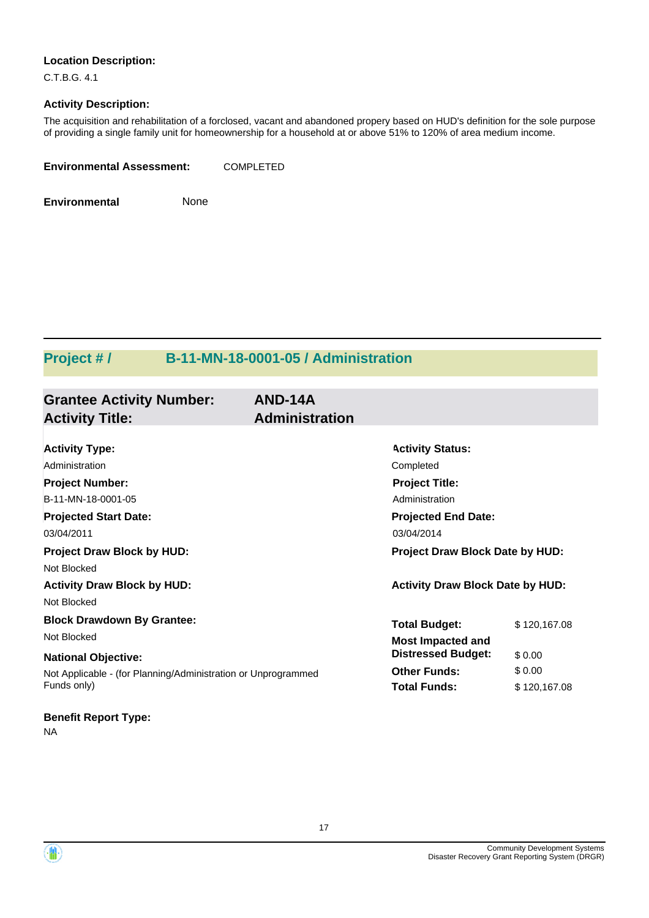#### **Location Description:**

C.T.B.G. 4.1

#### **Activity Description:**

The acquisition and rehabilitation of a forclosed, vacant and abandoned propery based on HUD's definition for the sole purpose of providing a single family unit for homeownership for a household at or above 51% to 120% of area medium income.

| <b>Environmental Assessment:</b> | <b>COMPLETED</b> |
|----------------------------------|------------------|
|                                  |                  |

**Environmental** None

# **Project # / B-11-MN-18-0001-05 / Administration**

| <b>Grantee Activity Number:</b><br><b>Activity Title:</b>     | AND-14A<br><b>Administration</b> |                                         |              |
|---------------------------------------------------------------|----------------------------------|-----------------------------------------|--------------|
|                                                               |                                  |                                         |              |
| <b>Activity Type:</b>                                         |                                  | <b>Activity Status:</b>                 |              |
| Administration                                                |                                  | Completed                               |              |
| <b>Project Number:</b>                                        |                                  | <b>Project Title:</b>                   |              |
| B-11-MN-18-0001-05                                            |                                  | Administration                          |              |
| <b>Projected Start Date:</b>                                  |                                  | <b>Projected End Date:</b>              |              |
| 03/04/2011                                                    |                                  | 03/04/2014                              |              |
| <b>Project Draw Block by HUD:</b>                             |                                  | Project Draw Block Date by HUD:         |              |
| Not Blocked                                                   |                                  |                                         |              |
| <b>Activity Draw Block by HUD:</b>                            |                                  | <b>Activity Draw Block Date by HUD:</b> |              |
| Not Blocked                                                   |                                  |                                         |              |
| <b>Block Drawdown By Grantee:</b>                             |                                  | <b>Total Budget:</b>                    | \$120,167.08 |
| Not Blocked                                                   |                                  | <b>Most Impacted and</b>                |              |
| <b>National Objective:</b>                                    |                                  | <b>Distressed Budget:</b>               | \$0.00       |
| Not Applicable - (for Planning/Administration or Unprogrammed |                                  | <b>Other Funds:</b>                     | \$0.00       |
| Funds only)                                                   |                                  | <b>Total Funds:</b>                     | \$120,167.08 |
| <b>Benefit Report Type:</b>                                   |                                  |                                         |              |

NA



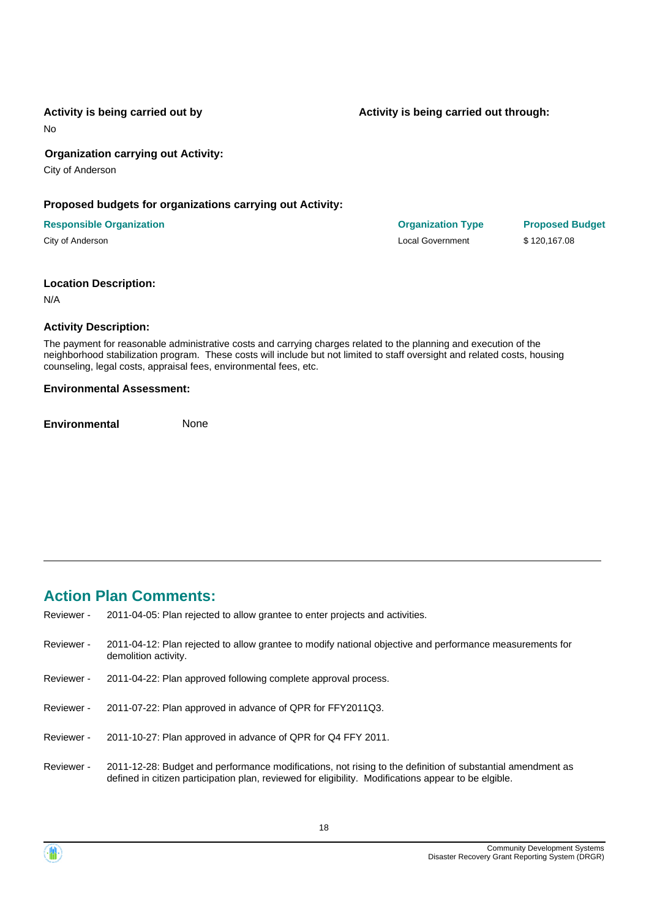No

#### **Organization carrying out Activity:**

City of Anderson

#### **Proposed budgets for organizations carrying out Activity:**

#### **Responsible Organization Organization Type Proposed Budget**

City of Anderson Local Government \$ 120,167.08

#### **Location Description:**

N/A

#### **Activity Description:**

The payment for reasonable administrative costs and carrying charges related to the planning and execution of the neighborhood stabilization program. These costs will include but not limited to staff oversight and related costs, housing counseling, legal costs, appraisal fees, environmental fees, etc.

#### **Environmental Assessment:**

**Environmental** None

# **Action Plan Comments:**

- Reviewer 2011-04-05: Plan rejected to allow grantee to enter projects and activities.
- 2011-04-12: Plan rejected to allow grantee to modify national objective and performance measurements for demolition activity. Reviewer -
- Reviewer 2011-04-22: Plan approved following complete approval process.
- Reviewer 2011-07-22: Plan approved in advance of QPR for FFY2011Q3.
- Reviewer 2011-10-27: Plan approved in advance of QPR for Q4 FFY 2011.
- 2011-12-28: Budget and performance modifications, not rising to the definition of substantial amendment as defined in citizen participation plan, reviewed for eligibility. Modifications appear to be elgible. Reviewer -

18

**Activity is being carried out through:**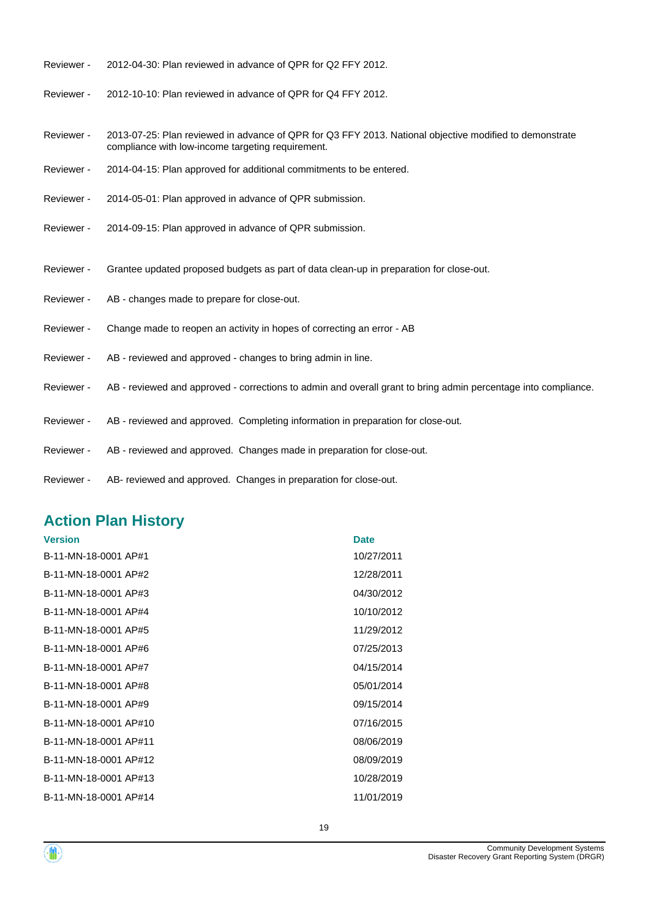- Reviewer 2012-04-30: Plan reviewed in advance of QPR for Q2 FFY 2012.
- Reviewer 2012-10-10: Plan reviewed in advance of QPR for Q4 FFY 2012.
- 2013-07-25: Plan reviewed in advance of QPR for Q3 FFY 2013. National objective modified to demonstrate compliance with low-income targeting requirement. Reviewer -
- Reviewer 2014-04-15: Plan approved for additional commitments to be entered.
- Reviewer 2014-05-01: Plan approved in advance of QPR submission.
- Reviewer 2014-09-15: Plan approved in advance of QPR submission.
- Reviewer Grantee updated proposed budgets as part of data clean-up in preparation for close-out.
- Reviewer AB changes made to prepare for close-out.
- Reviewer Change made to reopen an activity in hopes of correcting an error AB
- Reviewer AB reviewed and approved changes to bring admin in line.
- Reviewer AB reviewed and approved corrections to admin and overall grant to bring admin percentage into compliance.

19

- Reviewer AB reviewed and approved. Completing information in preparation for close-out.
- Reviewer AB reviewed and approved. Changes made in preparation for close-out.
- Reviewer AB- reviewed and approved. Changes in preparation for close-out.

# **Action Plan History**

| <b>Version</b>        | <b>Date</b> |
|-----------------------|-------------|
| B-11-MN-18-0001 AP#1  | 10/27/2011  |
| B-11-MN-18-0001 AP#2  | 12/28/2011  |
| B-11-MN-18-0001 AP#3  | 04/30/2012  |
| B-11-MN-18-0001 AP#4  | 10/10/2012  |
| B-11-MN-18-0001 AP#5  | 11/29/2012  |
| B-11-MN-18-0001 AP#6  | 07/25/2013  |
| B-11-MN-18-0001 AP#7  | 04/15/2014  |
| B-11-MN-18-0001 AP#8  | 05/01/2014  |
| B-11-MN-18-0001 AP#9  | 09/15/2014  |
| B-11-MN-18-0001 AP#10 | 07/16/2015  |
| B-11-MN-18-0001 AP#11 | 08/06/2019  |
| B-11-MN-18-0001 AP#12 | 08/09/2019  |
| B-11-MN-18-0001 AP#13 | 10/28/2019  |
| B-11-MN-18-0001 AP#14 | 11/01/2019  |
|                       |             |